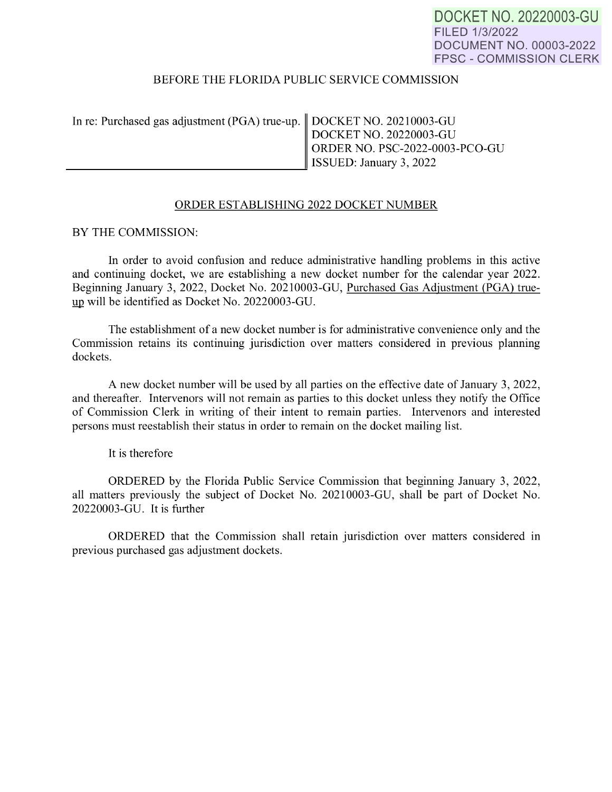**DOCKET** NO. 20220003-GU FILED 1/3/2022 DOCUMENT NO. 00003-2022 FPSC - COMMISSION CLERK

## BEFORE THE FLORIDA PUBLIC SERVICE COMMISSION

| In re: Purchased gas adjustment (PGA) true-up.<br>DOCKET NO. 20210003-GU<br>DOCKET NO. 20220003-GU<br>ORDER NO. PSC-2022-0003-PCO-GU<br>ISSUED: January 3, 2022 |  |
|-----------------------------------------------------------------------------------------------------------------------------------------------------------------|--|
|                                                                                                                                                                 |  |

## ORDER ESTABLISHING 2022 DOCKET NUMBER

BY THE COMMISSION:

In order to avoid confusion and reduce administrative handling problems in this active and continuing docket, we are establishing a new docket number for the calendar year 2022. Beginning January 3, 2022, Docket No. 20210003-GU, Purchased Gas Adjustment (PGA) true up will be identified as Docket No. 20220003-GU.

The establishment of a new docket number is for administrative convenience only and the Commission retains its continuing jurisdiction over matters considered in previous planning dockets.

A new docket number will be used by all parties on the effective date of January 3, 2022, and thereafter. Intervenors will not remain as parties to this docket unless they notify the Office of Commission Clerk in writing of their intent to remain parties. Intervenors and interested persons must reestablish their status in order to remain on the docket mailing list.

It is therefore

ORDERED by the Florida Public Service Commission that beginning January 3, 2022, all matters previously the subject of Docket No. 20210003-GU, shall be part of Docket No. 20220003-GU. It is further

ORDERED that the Commission shall retain jurisdiction over matters considered in previous purchased gas adjustment dockets.